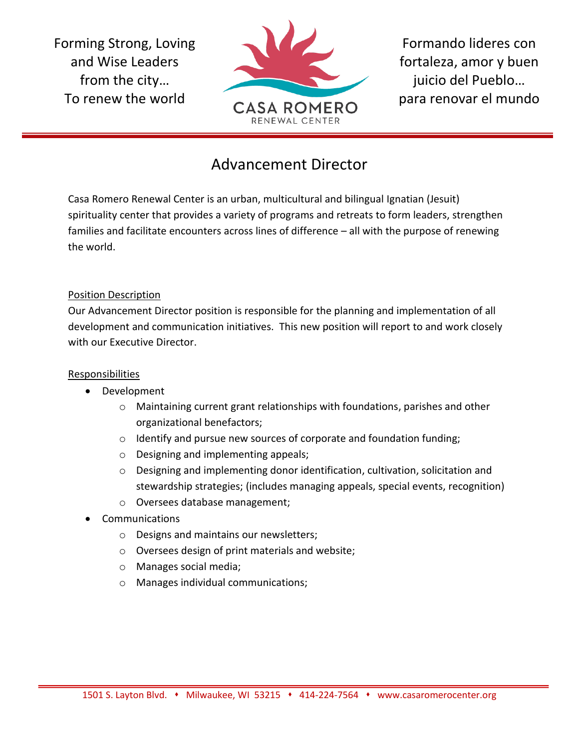Forming Strong, Loving and Wise Leaders from the city… To renew the world



Formando lideres con fortaleza, amor y buen juicio del Pueblo… para renovar el mundo

## Advancement Director

Casa Romero Renewal Center is an urban, multicultural and bilingual Ignatian (Jesuit) spirituality center that provides a variety of programs and retreats to form leaders, strengthen families and facilitate encounters across lines of difference – all with the purpose of renewing the world.

## Position Description

Our Advancement Director position is responsible for the planning and implementation of all development and communication initiatives. This new position will report to and work closely with our Executive Director.

## Responsibilities

- Development
	- $\circ$  Maintaining current grant relationships with foundations, parishes and other organizational benefactors;
	- o Identify and pursue new sources of corporate and foundation funding;
	- o Designing and implementing appeals;
	- o Designing and implementing donor identification, cultivation, solicitation and stewardship strategies; (includes managing appeals, special events, recognition)
	- o Oversees database management;
- **Communications** 
	- o Designs and maintains our newsletters;
	- o Oversees design of print materials and website;
	- o Manages social media;
	- o Manages individual communications;